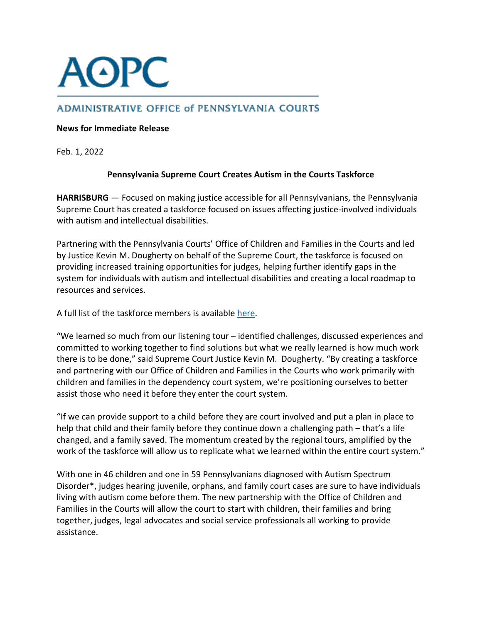

## **ADMINISTRATIVE OFFICE of PENNSYLVANIA COURTS**

## **News for Immediate Release**

Feb. 1, 2022

## **Pennsylvania Supreme Court Creates Autism in the Courts Taskforce**

**HARRISBURG** — Focused on making justice accessible for all Pennsylvanians, the Pennsylvania Supreme Court has created a taskforce focused on issues affecting justice-involved individuals with autism and intellectual disabilities.

Partnering with the Pennsylvania Courts' Office of Children and Families in the Courts and led by Justice Kevin M. Dougherty on behalf of the Supreme Court, the taskforce is focused on providing increased training opportunities for judges, helping further identify gaps in the system for individuals with autism and intellectual disabilities and creating a local roadmap to resources and services.

A full list of the taskforce members is available [here.](https://www.pacourts.us/Storage/media/pdfs/20211110/145011-autismtaskforcemembers.pdf)

"We learned so much from our listening tour – identified challenges, discussed experiences and committed to working together to find solutions but what we really learned is how much work there is to be done," said Supreme Court Justice Kevin M. Dougherty. "By creating a taskforce and partnering with our Office of Children and Families in the Courts who work primarily with children and families in the dependency court system, we're positioning ourselves to better assist those who need it before they enter the court system.

"If we can provide support to a child before they are court involved and put a plan in place to help that child and their family before they continue down a challenging path – that's a life changed, and a family saved. The momentum created by the regional tours, amplified by the work of the taskforce will allow us to replicate what we learned within the entire court system."

With one in 46 children and one in 59 Pennsylvanians diagnosed with Autism Spectrum Disorder\*, judges hearing juvenile, orphans, and family court cases are sure to have individuals living with autism come before them. The new partnership with the Office of Children and Families in the Courts will allow the court to start with children, their families and bring together, judges, legal advocates and social service professionals all working to provide assistance.